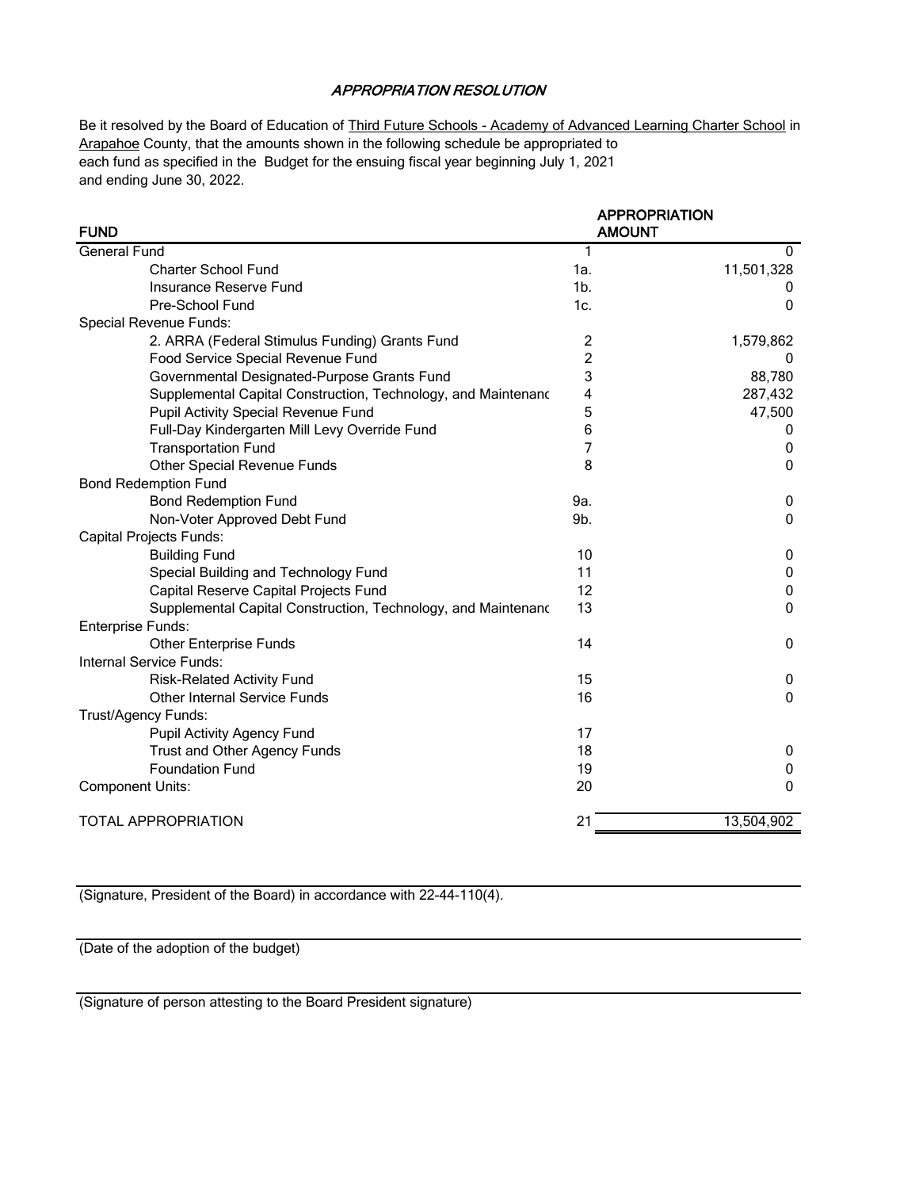## APPROPRIATION RESOLUTION

Be it resolved by the Board of Education of Third Future Schools - Academy of Advanced Learning Charter School in Arapahoe County, that the amounts shown in the following schedule be appropriated to each fund as specified in the Budget for the ensuing fiscal year beginning July 1, 2021 and ending June 30, 2022.

| <b>FUND</b>                                                   | <b>AMOUNT</b>  | <b>APPROPRIATION</b> |
|---------------------------------------------------------------|----------------|----------------------|
| <b>General Fund</b>                                           | 1              | 0                    |
| <b>Charter School Fund</b>                                    | 1a.            | 11,501,328           |
| Insurance Reserve Fund                                        | 1 <sub>b</sub> | 0                    |
| Pre-School Fund                                               | 1c.            | 0                    |
| Special Revenue Funds:                                        |                |                      |
| 2. ARRA (Federal Stimulus Funding) Grants Fund                | 2              | 1,579,862            |
| Food Service Special Revenue Fund                             | $\overline{c}$ | 0                    |
| Governmental Designated-Purpose Grants Fund                   | 3              | 88,780               |
| Supplemental Capital Construction, Technology, and Maintenanc | 4              | 287,432              |
| Pupil Activity Special Revenue Fund                           | 5              | 47,500               |
| Full-Day Kindergarten Mill Levy Override Fund                 | 6              | 0                    |
| <b>Transportation Fund</b>                                    | 7              | 0                    |
| <b>Other Special Revenue Funds</b>                            | 8              | $\mathbf 0$          |
| <b>Bond Redemption Fund</b>                                   |                |                      |
| <b>Bond Redemption Fund</b>                                   | 9a.            | 0                    |
| Non-Voter Approved Debt Fund                                  | 9b.            | $\mathbf{0}$         |
| <b>Capital Projects Funds:</b>                                |                |                      |
| <b>Building Fund</b>                                          | 10             | 0                    |
| Special Building and Technology Fund                          | 11             | 0                    |
| Capital Reserve Capital Projects Fund                         | 12             | 0                    |
| Supplemental Capital Construction, Technology, and Maintenand | 13             | $\mathbf 0$          |
| <b>Enterprise Funds:</b>                                      |                |                      |
| <b>Other Enterprise Funds</b>                                 | 14             | 0                    |
| Internal Service Funds:                                       |                |                      |
| <b>Risk-Related Activity Fund</b>                             | 15             | 0                    |
| <b>Other Internal Service Funds</b>                           | 16             | $\Omega$             |
| Trust/Agency Funds:                                           |                |                      |
| Pupil Activity Agency Fund                                    | 17             |                      |
| Trust and Other Agency Funds                                  | 18             | 0                    |
| <b>Foundation Fund</b>                                        | 19             | 0                    |
| <b>Component Units:</b>                                       | 20             | $\Omega$             |
| <b>TOTAL APPROPRIATION</b>                                    | 21             | 13,504,902           |

(Signature, President of the Board) in accordance with 22-44-110(4).

(Date of the adoption of the budget)

(Signature of person attesting to the Board President signature)